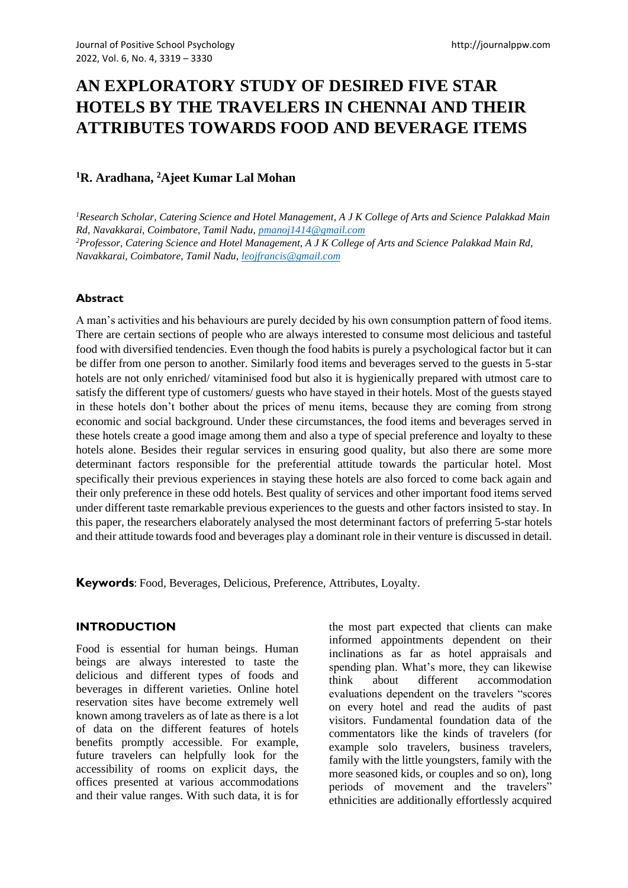# **AN EXPLORATORY STUDY OF DESIRED FIVE STAR HOTELS BY THE TRAVELERS IN CHENNAI AND THEIR ATTRIBUTES TOWARDS FOOD AND BEVERAGE ITEMS**

## **<sup>1</sup>R. Aradhana, <sup>2</sup>Ajeet Kumar Lal Mohan**

*<sup>1</sup>Research Scholar, Catering Science and Hotel Management, A J K College of Arts and Science Palakkad Main Rd, Navakkarai, Coimbatore, Tamil Nadu, [pmanoj1414@gmail.com](mailto:pmanoj1414@gmail.com) <sup>2</sup>Professor, Catering Science and Hotel Management, A J K College of Arts and Science Palakkad Main Rd, Navakkarai, Coimbatore, Tamil Nadu, [leojfrancis@gmail.com](mailto:leojfrancis@gmail.com)*

#### **Abstract**

A man's activities and his behaviours are purely decided by his own consumption pattern of food items. There are certain sections of people who are always interested to consume most delicious and tasteful food with diversified tendencies. Even though the food habits is purely a psychological factor but it can be differ from one person to another. Similarly food items and beverages served to the guests in 5-star hotels are not only enriched/ vitaminised food but also it is hygienically prepared with utmost care to satisfy the different type of customers/ guests who have stayed in their hotels. Most of the guests stayed in these hotels don't bother about the prices of menu items, because they are coming from strong economic and social background. Under these circumstances, the food items and beverages served in these hotels create a good image among them and also a type of special preference and loyalty to these hotels alone. Besides their regular services in ensuring good quality, but also there are some more determinant factors responsible for the preferential attitude towards the particular hotel. Most specifically their previous experiences in staying these hotels are also forced to come back again and their only preference in these odd hotels. Best quality of services and other important food items served under different taste remarkable previous experiences to the guests and other factors insisted to stay. In this paper, the researchers elaborately analysed the most determinant factors of preferring 5-star hotels and their attitude towards food and beverages play a dominant role in their venture is discussed in detail.

**Keywords**: Food, Beverages, Delicious, Preference, Attributes, Loyalty.

#### **INTRODUCTION**

Food is essential for human beings. Human beings are always interested to taste the delicious and different types of foods and beverages in different varieties. Online hotel reservation sites have become extremely well known among travelers as of late as there is a lot of data on the different features of hotels benefits promptly accessible. For example, future travelers can helpfully look for the accessibility of rooms on explicit days, the offices presented at various accommodations and their value ranges. With such data, it is for the most part expected that clients can make informed appointments dependent on their inclinations as far as hotel appraisals and spending plan. What's more, they can likewise think about different accommodation evaluations dependent on the travelers "scores on every hotel and read the audits of past visitors. Fundamental foundation data of the commentators like the kinds of travelers (for example solo travelers, business travelers, family with the little youngsters, family with the more seasoned kids, or couples and so on), long periods of movement and the travelers" ethnicities are additionally effortlessly acquired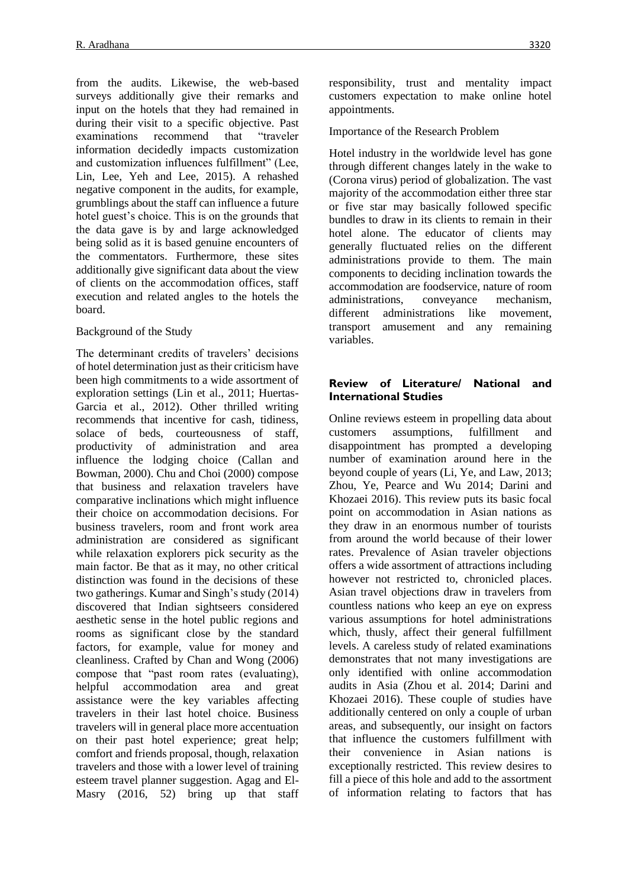from the audits. Likewise, the web-based surveys additionally give their remarks and input on the hotels that they had remained in during their visit to a specific objective. Past examinations recommend that "traveler information decidedly impacts customization and customization influences fulfillment" (Lee, Lin, Lee, Yeh and Lee, 2015). A rehashed negative component in the audits, for example, grumblings about the staff can influence a future hotel guest's choice. This is on the grounds that the data gave is by and large acknowledged being solid as it is based genuine encounters of the commentators. Furthermore, these sites additionally give significant data about the view of clients on the accommodation offices, staff execution and related angles to the hotels the board.

#### Background of the Study

The determinant credits of travelers' decisions of hotel determination just as their criticism have been high commitments to a wide assortment of exploration settings (Lin et al., 2011; Huertas-Garcia et al., 2012). Other thrilled writing recommends that incentive for cash, tidiness, solace of beds, courteousness of staff, productivity of administration and area influence the lodging choice (Callan and Bowman, 2000). Chu and Choi (2000) compose that business and relaxation travelers have comparative inclinations which might influence their choice on accommodation decisions. For business travelers, room and front work area administration are considered as significant while relaxation explorers pick security as the main factor. Be that as it may, no other critical distinction was found in the decisions of these two gatherings. Kumar and Singh's study (2014) discovered that Indian sightseers considered aesthetic sense in the hotel public regions and rooms as significant close by the standard factors, for example, value for money and cleanliness. Crafted by Chan and Wong (2006) compose that "past room rates (evaluating), helpful accommodation area and great assistance were the key variables affecting travelers in their last hotel choice. Business travelers will in general place more accentuation on their past hotel experience; great help; comfort and friends proposal, though, relaxation travelers and those with a lower level of training esteem travel planner suggestion. Agag and El-Masry (2016, 52) bring up that staff responsibility, trust and mentality impact customers expectation to make online hotel appointments.

Importance of the Research Problem

Hotel industry in the worldwide level has gone through different changes lately in the wake to (Corona virus) period of globalization. The vast majority of the accommodation either three star or five star may basically followed specific bundles to draw in its clients to remain in their hotel alone. The educator of clients may generally fluctuated relies on the different administrations provide to them. The main components to deciding inclination towards the accommodation are foodservice, nature of room administrations, conveyance mechanism, different administrations like movement, transport amusement and any remaining variables.

#### **Review of Literature/ National and International Studies**

Online reviews esteem in propelling data about customers assumptions, fulfillment and disappointment has prompted a developing number of examination around here in the beyond couple of years (Li, Ye, and Law, 2013; Zhou, Ye, Pearce and Wu 2014; Darini and Khozaei 2016). This review puts its basic focal point on accommodation in Asian nations as they draw in an enormous number of tourists from around the world because of their lower rates. Prevalence of Asian traveler objections offers a wide assortment of attractions including however not restricted to, chronicled places. Asian travel objections draw in travelers from countless nations who keep an eye on express various assumptions for hotel administrations which, thusly, affect their general fulfillment levels. A careless study of related examinations demonstrates that not many investigations are only identified with online accommodation audits in Asia (Zhou et al. 2014; Darini and Khozaei 2016). These couple of studies have additionally centered on only a couple of urban areas, and subsequently, our insight on factors that influence the customers fulfillment with their convenience in Asian nations is exceptionally restricted. This review desires to fill a piece of this hole and add to the assortment of information relating to factors that has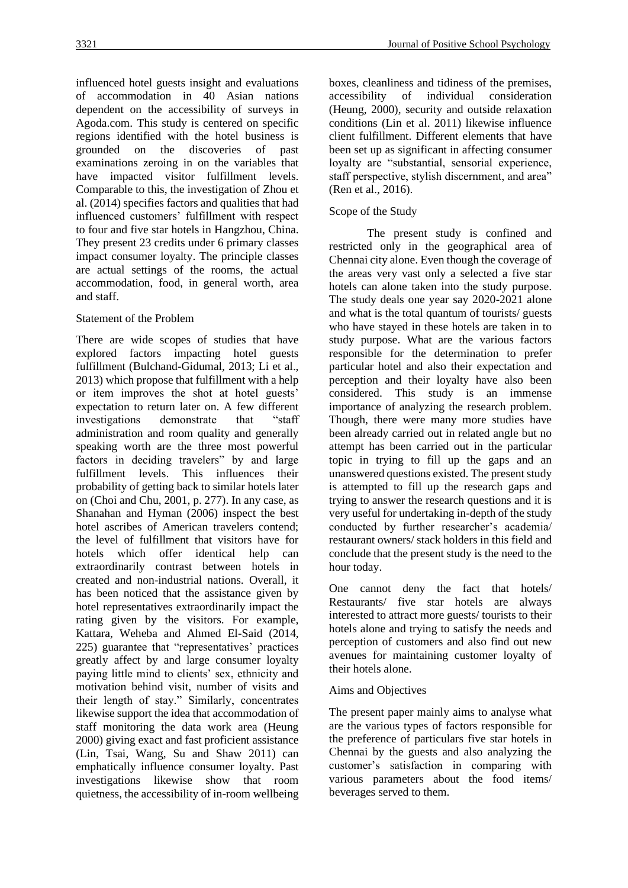influenced hotel guests insight and evaluations of accommodation in 40 Asian nations dependent on the accessibility of surveys in Agoda.com. This study is centered on specific regions identified with the hotel business is grounded on the discoveries of past examinations zeroing in on the variables that have impacted visitor fulfillment levels. Comparable to this, the investigation of Zhou et al. (2014) specifies factors and qualities that had influenced customers' fulfillment with respect to four and five star hotels in Hangzhou, China. They present 23 credits under 6 primary classes impact consumer loyalty. The principle classes are actual settings of the rooms, the actual accommodation, food, in general worth, area and staff.

### Statement of the Problem

There are wide scopes of studies that have explored factors impacting hotel guests fulfillment (Bulchand-Gidumal, 2013; Li et al., 2013) which propose that fulfillment with a help or item improves the shot at hotel guests' expectation to return later on. A few different investigations demonstrate that "staff administration and room quality and generally speaking worth are the three most powerful factors in deciding travelers" by and large fulfillment levels. This influences their probability of getting back to similar hotels later on (Choi and Chu, 2001, p. 277). In any case, as Shanahan and Hyman (2006) inspect the best hotel ascribes of American travelers contend; the level of fulfillment that visitors have for hotels which offer identical help can extraordinarily contrast between hotels in created and non-industrial nations. Overall, it has been noticed that the assistance given by hotel representatives extraordinarily impact the rating given by the visitors. For example, Kattara, Weheba and Ahmed El-Said (2014, 225) guarantee that "representatives' practices greatly affect by and large consumer loyalty paying little mind to clients' sex, ethnicity and motivation behind visit, number of visits and their length of stay." Similarly, concentrates likewise support the idea that accommodation of staff monitoring the data work area (Heung 2000) giving exact and fast proficient assistance (Lin, Tsai, Wang, Su and Shaw 2011) can emphatically influence consumer loyalty. Past investigations likewise show that room quietness, the accessibility of in-room wellbeing boxes, cleanliness and tidiness of the premises, accessibility of individual consideration (Heung, 2000), security and outside relaxation conditions (Lin et al. 2011) likewise influence client fulfillment. Different elements that have been set up as significant in affecting consumer loyalty are "substantial, sensorial experience, staff perspective, stylish discernment, and area" (Ren et al., 2016).

## Scope of the Study

The present study is confined and restricted only in the geographical area of Chennai city alone. Even though the coverage of the areas very vast only a selected a five star hotels can alone taken into the study purpose. The study deals one year say 2020-2021 alone and what is the total quantum of tourists/ guests who have stayed in these hotels are taken in to study purpose. What are the various factors responsible for the determination to prefer particular hotel and also their expectation and perception and their loyalty have also been considered. This study is an immense importance of analyzing the research problem. Though, there were many more studies have been already carried out in related angle but no attempt has been carried out in the particular topic in trying to fill up the gaps and an unanswered questions existed. The present study is attempted to fill up the research gaps and trying to answer the research questions and it is very useful for undertaking in-depth of the study conducted by further researcher's academia/ restaurant owners/ stack holders in this field and conclude that the present study is the need to the hour today.

One cannot deny the fact that hotels/ Restaurants/ five star hotels are always interested to attract more guests/ tourists to their hotels alone and trying to satisfy the needs and perception of customers and also find out new avenues for maintaining customer loyalty of their hotels alone.

## Aims and Objectives

The present paper mainly aims to analyse what are the various types of factors responsible for the preference of particulars five star hotels in Chennai by the guests and also analyzing the customer's satisfaction in comparing with various parameters about the food items/ beverages served to them.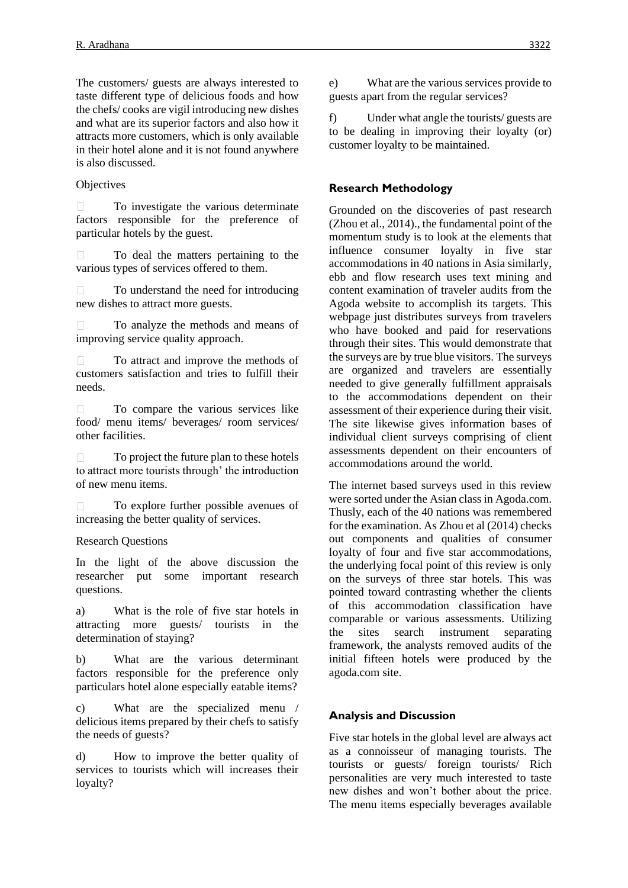The customers/ guests are always interested to taste different type of delicious foods and how the chefs/ cooks are vigil introducing new dishes and what are its superior factors and also how it attracts more customers, which is only available in their hotel alone and it is not found anywhere is also discussed.

#### **Objectives**

 $\Box$ To investigate the various determinate factors responsible for the preference of particular hotels by the guest.

To deal the matters pertaining to the  $\Box$ various types of services offered to them.

To understand the need for introducing  $\Box$ new dishes to attract more guests.

To analyze the methods and means of improving service quality approach.

To attract and improve the methods of  $\Box$ customers satisfaction and tries to fulfill their needs.

To compare the various services like  $\Box$ food/ menu items/ beverages/ room services/ other facilities.

To project the future plan to these hotels  $\Box$ to attract more tourists through' the introduction of new menu items.

 $\Box$ To explore further possible avenues of increasing the better quality of services.

Research Questions

In the light of the above discussion the researcher put some important research questions.

a) What is the role of five star hotels in attracting more guests/ tourists in the determination of staying?

b) What are the various determinant factors responsible for the preference only particulars hotel alone especially eatable items?

c) What are the specialized menu / delicious items prepared by their chefs to satisfy the needs of guests?

d) How to improve the better quality of services to tourists which will increases their loyalty?

e) What are the various services provide to guests apart from the regular services?

f) Under what angle the tourists/ guests are to be dealing in improving their loyalty (or) customer loyalty to be maintained.

## **Research Methodology**

Grounded on the discoveries of past research (Zhou et al., 2014)., the fundamental point of the momentum study is to look at the elements that influence consumer loyalty in five star accommodations in 40 nations in Asia similarly, ebb and flow research uses text mining and content examination of traveler audits from the Agoda website to accomplish its targets. This webpage just distributes surveys from travelers who have booked and paid for reservations through their sites. This would demonstrate that the surveys are by true blue visitors. The surveys are organized and travelers are essentially needed to give generally fulfillment appraisals to the accommodations dependent on their assessment of their experience during their visit. The site likewise gives information bases of individual client surveys comprising of client assessments dependent on their encounters of accommodations around the world.

The internet based surveys used in this review were sorted under the Asian class in Agoda.com. Thusly, each of the 40 nations was remembered for the examination. As Zhou et al (2014) checks out components and qualities of consumer loyalty of four and five star accommodations, the underlying focal point of this review is only on the surveys of three star hotels. This was pointed toward contrasting whether the clients of this accommodation classification have comparable or various assessments. Utilizing the sites search instrument separating framework, the analysts removed audits of the initial fifteen hotels were produced by the agoda.com site.

## **Analysis and Discussion**

Five star hotels in the global level are always act as a connoisseur of managing tourists. The tourists or guests/ foreign tourists/ Rich personalities are very much interested to taste new dishes and won't bother about the price. The menu items especially beverages available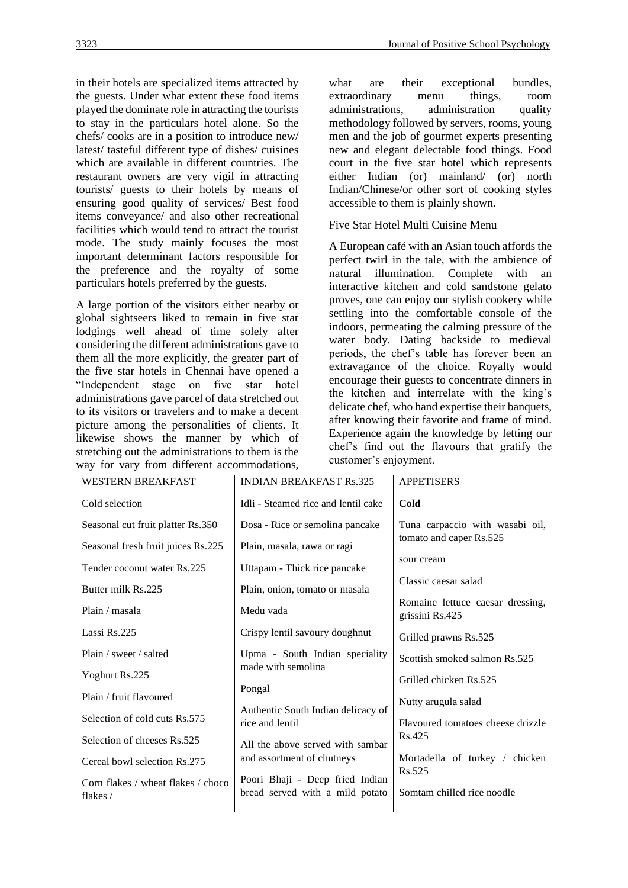in their hotels are specialized items attracted by the guests. Under what extent these food items played the dominate role in attracting the tourists to stay in the particulars hotel alone. So the chefs/ cooks are in a position to introduce new/ latest/ tasteful different type of dishes/ cuisines which are available in different countries. The restaurant owners are very vigil in attracting tourists/ guests to their hotels by means of ensuring good quality of services/ Best food items conveyance/ and also other recreational facilities which would tend to attract the tourist mode. The study mainly focuses the most important determinant factors responsible for the preference and the royalty of some particulars hotels preferred by the guests.

A large portion of the visitors either nearby or global sightseers liked to remain in five star lodgings well ahead of time solely after considering the different administrations gave to them all the more explicitly, the greater part of the five star hotels in Chennai have opened a "Independent stage on five star hotel administrations gave parcel of data stretched out to its visitors or travelers and to make a decent picture among the personalities of clients. It likewise shows the manner by which of stretching out the administrations to them is the way for vary from different accommodations, what are their exceptional bundles, extraordinary menu things, room administrations, administration quality methodology followed by servers, rooms, young men and the job of gourmet experts presenting new and elegant delectable food things. Food court in the five star hotel which represents either Indian (or) mainland/ (or) north Indian/Chinese/or other sort of cooking styles accessible to them is plainly shown.

Five Star Hotel Multi Cuisine Menu

A European café with an Asian touch affords the perfect twirl in the tale, with the ambience of natural illumination. Complete with an interactive kitchen and cold sandstone gelato proves, one can enjoy our stylish cookery while settling into the comfortable console of the indoors, permeating the calming pressure of the water body. Dating backside to medieval periods, the chef's table has forever been an extravagance of the choice. Royalty would encourage their guests to concentrate dinners in the kitchen and interrelate with the king's delicate chef, who hand expertise their banquets, after knowing their favorite and frame of mind. Experience again the knowledge by letting our chef's find out the flavours that gratify the customer's enjoyment.

| <b>WESTERN BREAKFAST</b>                       | <b>INDIAN BREAKFAST Rs.325</b>                                     | <b>APPETISERS</b>                                   |
|------------------------------------------------|--------------------------------------------------------------------|-----------------------------------------------------|
| Cold selection                                 | Idli - Steamed rice and lentil cake                                | Cold                                                |
| Seasonal cut fruit platter Rs.350              | Dosa - Rice or semolina pancake                                    | Tuna carpaccio with wasabi oil,                     |
| Seasonal fresh fruit juices Rs.225             | Plain, masala, rawa or ragi                                        | tomato and caper Rs.525                             |
| Tender coconut water Rs.225                    | Uttapam - Thick rice pancake                                       | sour cream                                          |
| Butter milk Rs.225                             | Plain, onion, tomato or masala                                     | Classic caesar salad                                |
| Plain / masala                                 | Medu vada                                                          | Romaine lettuce caesar dressing,<br>grissini Rs.425 |
| Lassi Rs.225                                   | Crispy lentil savoury doughnut                                     | Grilled prawns Rs.525                               |
| Plain / sweet / salted                         | Upma - South Indian speciality                                     | Scottish smoked salmon Rs.525                       |
| Yoghurt Rs.225                                 | made with semolina                                                 | Grilled chicken Rs.525                              |
| Plain / fruit flavoured                        | Pongal                                                             | Nutty arugula salad                                 |
| Selection of cold cuts Rs.575                  | Authentic South Indian delicacy of<br>rice and lentil              | Flavoured tomatoes cheese drizzle                   |
| Selection of cheeses Rs.525                    | All the above served with sambar                                   | Rs.425                                              |
| Cereal bowl selection Rs.275                   | and assortment of chutneys                                         | Mortadella of turkey / chicken                      |
| Corn flakes / wheat flakes / choco<br>flakes / | Poori Bhaji - Deep fried Indian<br>bread served with a mild potato | Rs.525<br>Somtam chilled rice noodle                |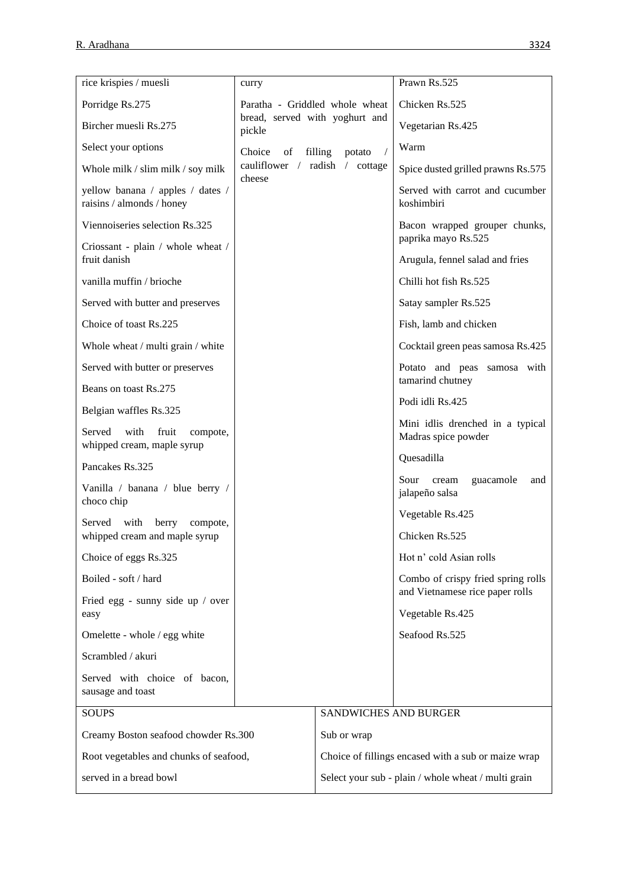| rice krispies / muesli                                            | curry                                    |                                                     | Prawn Rs.525                                                          |
|-------------------------------------------------------------------|------------------------------------------|-----------------------------------------------------|-----------------------------------------------------------------------|
| Porridge Rs.275                                                   | Paratha - Griddled whole wheat           |                                                     | Chicken Rs.525                                                        |
| Bircher muesli Rs.275                                             | bread, served with yoghurt and<br>pickle |                                                     | Vegetarian Rs.425                                                     |
| Select your options                                               | Choice<br>of                             | filling<br>potato<br>$\prime$                       | Warm                                                                  |
| Whole milk / slim milk / soy milk                                 | cauliflower / radish / cottage<br>cheese |                                                     | Spice dusted grilled prawns Rs.575                                    |
| yellow banana / apples / dates /<br>raisins / almonds / honey     |                                          |                                                     | Served with carrot and cucumber<br>koshimbiri                         |
| Viennoiseries selection Rs.325                                    |                                          |                                                     | Bacon wrapped grouper chunks,<br>paprika mayo Rs.525                  |
| Criossant - plain / whole wheat /<br>fruit danish                 |                                          |                                                     | Arugula, fennel salad and fries                                       |
| vanilla muffin / brioche                                          |                                          |                                                     | Chilli hot fish Rs.525                                                |
| Served with butter and preserves                                  |                                          |                                                     | Satay sampler Rs.525                                                  |
| Choice of toast Rs.225                                            |                                          |                                                     | Fish, lamb and chicken                                                |
| Whole wheat / multi grain / white                                 |                                          |                                                     | Cocktail green peas samosa Rs.425                                     |
| Served with butter or preserves                                   |                                          |                                                     | Potato and peas samosa with                                           |
| Beans on toast Rs.275                                             |                                          |                                                     | tamarind chutney<br>Podi idli Rs.425                                  |
| Belgian waffles Rs.325                                            |                                          |                                                     |                                                                       |
| with<br>Served<br>fruit<br>compote,<br>whipped cream, maple syrup |                                          |                                                     | Mini idlis drenched in a typical<br>Madras spice powder               |
| Pancakes Rs.325                                                   |                                          |                                                     | Quesadilla                                                            |
| Vanilla / banana / blue berry /<br>choco chip                     |                                          |                                                     | Sour<br>guacamole<br>cream<br>and<br>jalapeño salsa                   |
| with<br>berry<br>Served<br>compote,                               |                                          |                                                     | Vegetable Rs.425                                                      |
| whipped cream and maple syrup                                     |                                          |                                                     | Chicken Rs.525                                                        |
| Choice of eggs Rs.325                                             |                                          |                                                     | Hot n' cold Asian rolls                                               |
| Boiled - soft / hard                                              |                                          |                                                     | Combo of crispy fried spring rolls<br>and Vietnamese rice paper rolls |
| Fried egg - sunny side up / over<br>easy                          |                                          |                                                     | Vegetable Rs.425                                                      |
| Omelette - whole / egg white                                      |                                          |                                                     | Seafood Rs.525                                                        |
| Scrambled / akuri                                                 |                                          |                                                     |                                                                       |
| Served with choice of bacon,<br>sausage and toast                 |                                          |                                                     |                                                                       |
| <b>SOUPS</b>                                                      |                                          | SANDWICHES AND BURGER                               |                                                                       |
| Creamy Boston seafood chowder Rs.300                              |                                          | Sub or wrap                                         |                                                                       |
| Root vegetables and chunks of seafood,                            |                                          | Choice of fillings encased with a sub or maize wrap |                                                                       |
| served in a bread bowl                                            |                                          | Select your sub - plain / whole wheat / multi grain |                                                                       |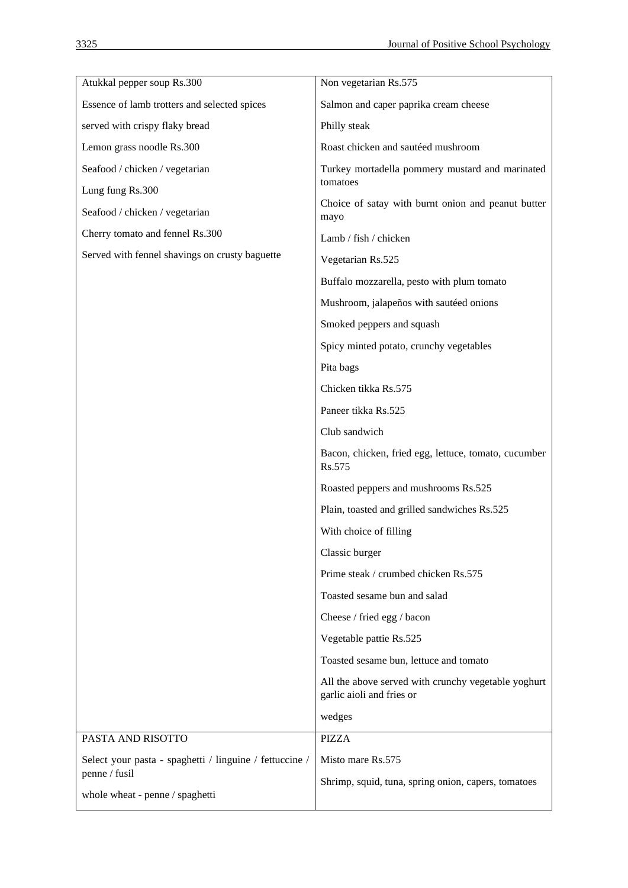| Salmon and caper paprika cream cheese<br>Essence of lamb trotters and selected spices<br>served with crispy flaky bread<br>Philly steak<br>Roast chicken and sautéed mushroom<br>Lemon grass noodle Rs.300<br>Seafood / chicken / vegetarian<br>Turkey mortadella pommery mustard and marinated<br>tomatoes<br>Lung fung Rs.300<br>Choice of satay with burnt onion and peanut butter<br>Seafood / chicken / vegetarian<br>mayo<br>Cherry tomato and fennel Rs.300<br>Lamb / fish / chicken<br>Served with fennel shavings on crusty baguette<br>Vegetarian Rs.525<br>Buffalo mozzarella, pesto with plum tomato<br>Mushroom, jalapeños with sautéed onions<br>Smoked peppers and squash<br>Spicy minted potato, crunchy vegetables<br>Pita bags<br>Chicken tikka Rs.575<br>Paneer tikka Rs.525<br>Club sandwich<br>Bacon, chicken, fried egg, lettuce, tomato, cucumber<br>Rs.575<br>Roasted peppers and mushrooms Rs.525<br>Plain, toasted and grilled sandwiches Rs.525<br>With choice of filling<br>Classic burger<br>Prime steak / crumbed chicken Rs.575<br>Toasted sesame bun and salad<br>Cheese / fried egg / bacon<br>Vegetable pattie Rs.525<br>Toasted sesame bun, lettuce and tomato<br>All the above served with crunchy vegetable yoghurt<br>garlic aioli and fries or<br>wedges<br>PASTA AND RISOTTO<br><b>PIZZA</b><br>Select your pasta - spaghetti / linguine / fettuccine /<br>Misto mare Rs.575<br>penne / fusil<br>Shrimp, squid, tuna, spring onion, capers, tomatoes<br>whole wheat - penne / spaghetti | Atukkal pepper soup Rs.300 | Non vegetarian Rs.575 |
|---------------------------------------------------------------------------------------------------------------------------------------------------------------------------------------------------------------------------------------------------------------------------------------------------------------------------------------------------------------------------------------------------------------------------------------------------------------------------------------------------------------------------------------------------------------------------------------------------------------------------------------------------------------------------------------------------------------------------------------------------------------------------------------------------------------------------------------------------------------------------------------------------------------------------------------------------------------------------------------------------------------------------------------------------------------------------------------------------------------------------------------------------------------------------------------------------------------------------------------------------------------------------------------------------------------------------------------------------------------------------------------------------------------------------------------------------------------------------------------------------------------------------------|----------------------------|-----------------------|
|                                                                                                                                                                                                                                                                                                                                                                                                                                                                                                                                                                                                                                                                                                                                                                                                                                                                                                                                                                                                                                                                                                                                                                                                                                                                                                                                                                                                                                                                                                                                 |                            |                       |
|                                                                                                                                                                                                                                                                                                                                                                                                                                                                                                                                                                                                                                                                                                                                                                                                                                                                                                                                                                                                                                                                                                                                                                                                                                                                                                                                                                                                                                                                                                                                 |                            |                       |
|                                                                                                                                                                                                                                                                                                                                                                                                                                                                                                                                                                                                                                                                                                                                                                                                                                                                                                                                                                                                                                                                                                                                                                                                                                                                                                                                                                                                                                                                                                                                 |                            |                       |
|                                                                                                                                                                                                                                                                                                                                                                                                                                                                                                                                                                                                                                                                                                                                                                                                                                                                                                                                                                                                                                                                                                                                                                                                                                                                                                                                                                                                                                                                                                                                 |                            |                       |
|                                                                                                                                                                                                                                                                                                                                                                                                                                                                                                                                                                                                                                                                                                                                                                                                                                                                                                                                                                                                                                                                                                                                                                                                                                                                                                                                                                                                                                                                                                                                 |                            |                       |
|                                                                                                                                                                                                                                                                                                                                                                                                                                                                                                                                                                                                                                                                                                                                                                                                                                                                                                                                                                                                                                                                                                                                                                                                                                                                                                                                                                                                                                                                                                                                 |                            |                       |
|                                                                                                                                                                                                                                                                                                                                                                                                                                                                                                                                                                                                                                                                                                                                                                                                                                                                                                                                                                                                                                                                                                                                                                                                                                                                                                                                                                                                                                                                                                                                 |                            |                       |
|                                                                                                                                                                                                                                                                                                                                                                                                                                                                                                                                                                                                                                                                                                                                                                                                                                                                                                                                                                                                                                                                                                                                                                                                                                                                                                                                                                                                                                                                                                                                 |                            |                       |
|                                                                                                                                                                                                                                                                                                                                                                                                                                                                                                                                                                                                                                                                                                                                                                                                                                                                                                                                                                                                                                                                                                                                                                                                                                                                                                                                                                                                                                                                                                                                 |                            |                       |
|                                                                                                                                                                                                                                                                                                                                                                                                                                                                                                                                                                                                                                                                                                                                                                                                                                                                                                                                                                                                                                                                                                                                                                                                                                                                                                                                                                                                                                                                                                                                 |                            |                       |
|                                                                                                                                                                                                                                                                                                                                                                                                                                                                                                                                                                                                                                                                                                                                                                                                                                                                                                                                                                                                                                                                                                                                                                                                                                                                                                                                                                                                                                                                                                                                 |                            |                       |
|                                                                                                                                                                                                                                                                                                                                                                                                                                                                                                                                                                                                                                                                                                                                                                                                                                                                                                                                                                                                                                                                                                                                                                                                                                                                                                                                                                                                                                                                                                                                 |                            |                       |
|                                                                                                                                                                                                                                                                                                                                                                                                                                                                                                                                                                                                                                                                                                                                                                                                                                                                                                                                                                                                                                                                                                                                                                                                                                                                                                                                                                                                                                                                                                                                 |                            |                       |
|                                                                                                                                                                                                                                                                                                                                                                                                                                                                                                                                                                                                                                                                                                                                                                                                                                                                                                                                                                                                                                                                                                                                                                                                                                                                                                                                                                                                                                                                                                                                 |                            |                       |
|                                                                                                                                                                                                                                                                                                                                                                                                                                                                                                                                                                                                                                                                                                                                                                                                                                                                                                                                                                                                                                                                                                                                                                                                                                                                                                                                                                                                                                                                                                                                 |                            |                       |
|                                                                                                                                                                                                                                                                                                                                                                                                                                                                                                                                                                                                                                                                                                                                                                                                                                                                                                                                                                                                                                                                                                                                                                                                                                                                                                                                                                                                                                                                                                                                 |                            |                       |
|                                                                                                                                                                                                                                                                                                                                                                                                                                                                                                                                                                                                                                                                                                                                                                                                                                                                                                                                                                                                                                                                                                                                                                                                                                                                                                                                                                                                                                                                                                                                 |                            |                       |
|                                                                                                                                                                                                                                                                                                                                                                                                                                                                                                                                                                                                                                                                                                                                                                                                                                                                                                                                                                                                                                                                                                                                                                                                                                                                                                                                                                                                                                                                                                                                 |                            |                       |
|                                                                                                                                                                                                                                                                                                                                                                                                                                                                                                                                                                                                                                                                                                                                                                                                                                                                                                                                                                                                                                                                                                                                                                                                                                                                                                                                                                                                                                                                                                                                 |                            |                       |
|                                                                                                                                                                                                                                                                                                                                                                                                                                                                                                                                                                                                                                                                                                                                                                                                                                                                                                                                                                                                                                                                                                                                                                                                                                                                                                                                                                                                                                                                                                                                 |                            |                       |
|                                                                                                                                                                                                                                                                                                                                                                                                                                                                                                                                                                                                                                                                                                                                                                                                                                                                                                                                                                                                                                                                                                                                                                                                                                                                                                                                                                                                                                                                                                                                 |                            |                       |
|                                                                                                                                                                                                                                                                                                                                                                                                                                                                                                                                                                                                                                                                                                                                                                                                                                                                                                                                                                                                                                                                                                                                                                                                                                                                                                                                                                                                                                                                                                                                 |                            |                       |
|                                                                                                                                                                                                                                                                                                                                                                                                                                                                                                                                                                                                                                                                                                                                                                                                                                                                                                                                                                                                                                                                                                                                                                                                                                                                                                                                                                                                                                                                                                                                 |                            |                       |
|                                                                                                                                                                                                                                                                                                                                                                                                                                                                                                                                                                                                                                                                                                                                                                                                                                                                                                                                                                                                                                                                                                                                                                                                                                                                                                                                                                                                                                                                                                                                 |                            |                       |
|                                                                                                                                                                                                                                                                                                                                                                                                                                                                                                                                                                                                                                                                                                                                                                                                                                                                                                                                                                                                                                                                                                                                                                                                                                                                                                                                                                                                                                                                                                                                 |                            |                       |
|                                                                                                                                                                                                                                                                                                                                                                                                                                                                                                                                                                                                                                                                                                                                                                                                                                                                                                                                                                                                                                                                                                                                                                                                                                                                                                                                                                                                                                                                                                                                 |                            |                       |
|                                                                                                                                                                                                                                                                                                                                                                                                                                                                                                                                                                                                                                                                                                                                                                                                                                                                                                                                                                                                                                                                                                                                                                                                                                                                                                                                                                                                                                                                                                                                 |                            |                       |
|                                                                                                                                                                                                                                                                                                                                                                                                                                                                                                                                                                                                                                                                                                                                                                                                                                                                                                                                                                                                                                                                                                                                                                                                                                                                                                                                                                                                                                                                                                                                 |                            |                       |
|                                                                                                                                                                                                                                                                                                                                                                                                                                                                                                                                                                                                                                                                                                                                                                                                                                                                                                                                                                                                                                                                                                                                                                                                                                                                                                                                                                                                                                                                                                                                 |                            |                       |
|                                                                                                                                                                                                                                                                                                                                                                                                                                                                                                                                                                                                                                                                                                                                                                                                                                                                                                                                                                                                                                                                                                                                                                                                                                                                                                                                                                                                                                                                                                                                 |                            |                       |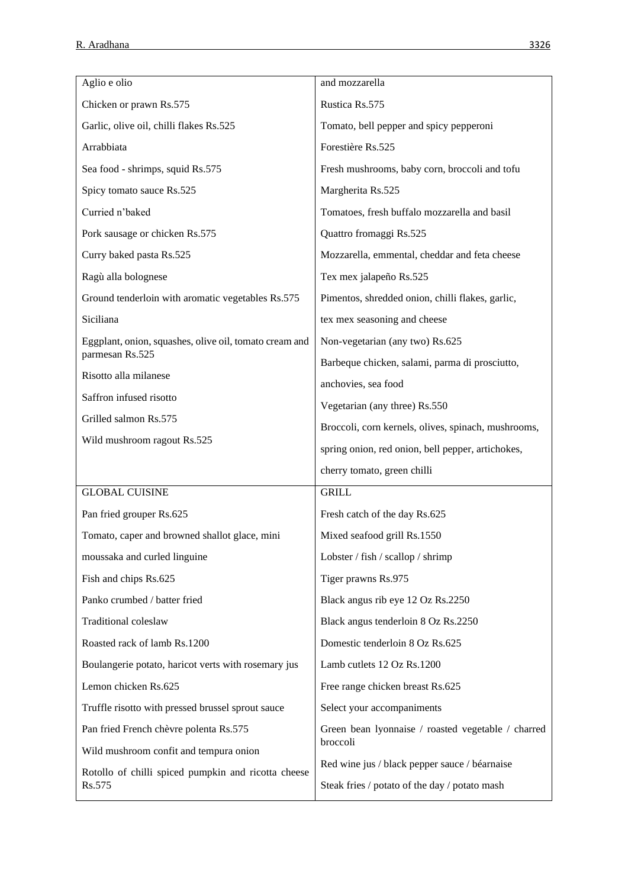| Aglio e olio                                           | and mozzarella                                                                                 |
|--------------------------------------------------------|------------------------------------------------------------------------------------------------|
| Chicken or prawn Rs.575                                | Rustica Rs.575                                                                                 |
| Garlic, olive oil, chilli flakes Rs.525                | Tomato, bell pepper and spicy pepperoni                                                        |
| Arrabbiata                                             | Forestière Rs.525                                                                              |
| Sea food - shrimps, squid Rs.575                       | Fresh mushrooms, baby corn, broccoli and tofu                                                  |
| Spicy tomato sauce Rs.525                              | Margherita Rs.525                                                                              |
| Curried n'baked                                        | Tomatoes, fresh buffalo mozzarella and basil                                                   |
| Pork sausage or chicken Rs.575                         | Quattro fromaggi Rs.525                                                                        |
| Curry baked pasta Rs.525                               | Mozzarella, emmental, cheddar and feta cheese                                                  |
| Ragù alla bolognese                                    | Tex mex jalapeño Rs.525                                                                        |
| Ground tenderloin with aromatic vegetables Rs.575      | Pimentos, shredded onion, chilli flakes, garlic,                                               |
| Siciliana                                              | tex mex seasoning and cheese                                                                   |
| Eggplant, onion, squashes, olive oil, tomato cream and | Non-vegetarian (any two) Rs.625                                                                |
| parmesan Rs.525                                        | Barbeque chicken, salami, parma di prosciutto,                                                 |
| Risotto alla milanese                                  | anchovies, sea food                                                                            |
| Saffron infused risotto                                | Vegetarian (any three) Rs.550                                                                  |
| Grilled salmon Rs.575                                  | Broccoli, corn kernels, olives, spinach, mushrooms,                                            |
|                                                        |                                                                                                |
| Wild mushroom ragout Rs.525                            | spring onion, red onion, bell pepper, artichokes,                                              |
|                                                        | cherry tomato, green chilli                                                                    |
| <b>GLOBAL CUISINE</b>                                  | <b>GRILL</b>                                                                                   |
| Pan fried grouper Rs.625                               | Fresh catch of the day Rs.625                                                                  |
| Tomato, caper and browned shallot glace, mini          | Mixed seafood grill Rs.1550                                                                    |
| moussaka and curled linguine                           | Lobster / fish / scallop / shrimp                                                              |
| Fish and chips Rs.625                                  | Tiger prawns Rs.975                                                                            |
| Panko crumbed / batter fried                           | Black angus rib eye 12 Oz Rs.2250                                                              |
| Traditional coleslaw                                   | Black angus tenderloin 8 Oz Rs.2250                                                            |
| Roasted rack of lamb Rs.1200                           | Domestic tenderloin 8 Oz Rs.625                                                                |
| Boulangerie potato, haricot verts with rosemary jus    | Lamb cutlets 12 Oz Rs.1200                                                                     |
| Lemon chicken Rs.625                                   | Free range chicken breast Rs.625                                                               |
| Truffle risotto with pressed brussel sprout sauce      | Select your accompaniments                                                                     |
| Pan fried French chèvre polenta Rs.575                 | Green bean lyonnaise / roasted vegetable / charred                                             |
| Wild mushroom confit and tempura onion                 | broccoli                                                                                       |
| Rotollo of chilli spiced pumpkin and ricotta cheese    | Red wine jus / black pepper sauce / béarnaise<br>Steak fries / potato of the day / potato mash |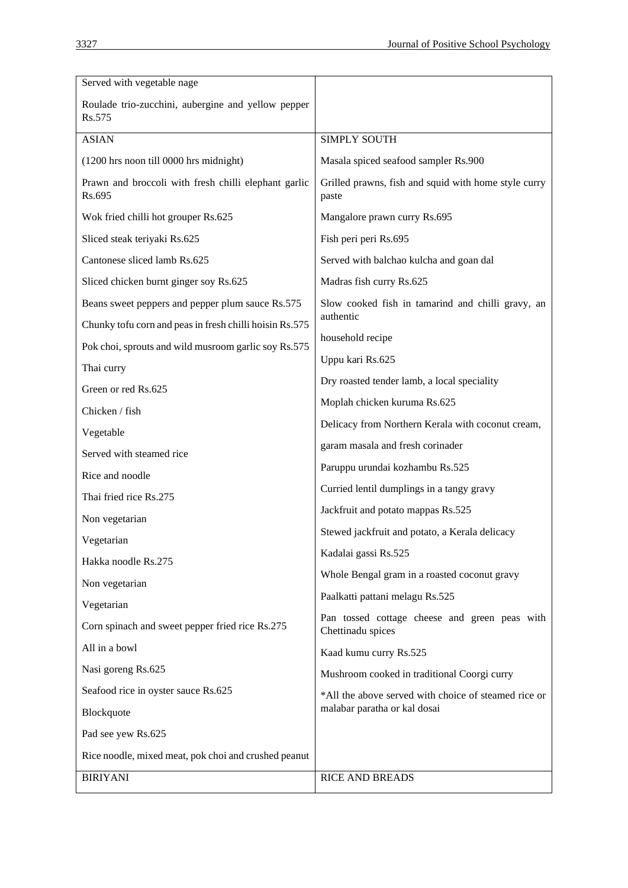| Served with vegetable nage                                     |                                                                    |  |
|----------------------------------------------------------------|--------------------------------------------------------------------|--|
| Roulade trio-zucchini, aubergine and yellow pepper<br>Rs.575   |                                                                    |  |
| <b>ASIAN</b>                                                   | <b>SIMPLY SOUTH</b>                                                |  |
| (1200 hrs noon till 0000 hrs midnight)                         | Masala spiced seafood sampler Rs.900                               |  |
| Prawn and broccoli with fresh chilli elephant garlic<br>Rs.695 | Grilled prawns, fish and squid with home style curry<br>paste      |  |
| Wok fried chilli hot grouper Rs.625                            | Mangalore prawn curry Rs.695                                       |  |
| Sliced steak teriyaki Rs.625                                   | Fish peri peri Rs.695                                              |  |
| Cantonese sliced lamb Rs.625                                   | Served with balchao kulcha and goan dal                            |  |
| Sliced chicken burnt ginger soy Rs.625                         | Madras fish curry Rs.625                                           |  |
| Beans sweet peppers and pepper plum sauce Rs.575               | Slow cooked fish in tamarind and chilli gravy, an<br>authentic     |  |
| Chunky tofu corn and peas in fresh chilli hoisin Rs.575        |                                                                    |  |
| Pok choi, sprouts and wild musroom garlic soy Rs.575           | household recipe                                                   |  |
| Thai curry                                                     | Uppu kari Rs.625                                                   |  |
| Green or red Rs.625                                            | Dry roasted tender lamb, a local speciality                        |  |
| Chicken / fish                                                 | Moplah chicken kuruma Rs.625                                       |  |
| Vegetable                                                      | Delicacy from Northern Kerala with coconut cream,                  |  |
| Served with steamed rice                                       | garam masala and fresh corinader                                   |  |
| Rice and noodle                                                | Paruppu urundai kozhambu Rs.525                                    |  |
| Thai fried rice Rs.275                                         | Curried lentil dumplings in a tangy gravy                          |  |
| Non vegetarian                                                 | Jackfruit and potato mappas Rs.525                                 |  |
| Vegetarian                                                     | Stewed jackfruit and potato, a Kerala delicacy                     |  |
| Hakka noodle Rs.275                                            | Kadalai gassi Rs.525                                               |  |
| Non vegetarian                                                 | Whole Bengal gram in a roasted coconut gravy                       |  |
| Vegetarian                                                     | Paalkatti pattani melagu Rs.525                                    |  |
| Corn spinach and sweet pepper fried rice Rs.275                | Pan tossed cottage cheese and green peas with<br>Chettinadu spices |  |
| All in a bowl                                                  | Kaad kumu curry Rs.525                                             |  |
| Nasi goreng Rs.625                                             | Mushroom cooked in traditional Coorgi curry                        |  |
| Seafood rice in oyster sauce Rs.625                            | *All the above served with choice of steamed rice or               |  |
| Blockquote                                                     | malabar paratha or kal dosai                                       |  |
| Pad see yew Rs.625                                             |                                                                    |  |
| Rice noodle, mixed meat, pok choi and crushed peanut           |                                                                    |  |
| <b>BIRIYANI</b>                                                | <b>RICE AND BREADS</b>                                             |  |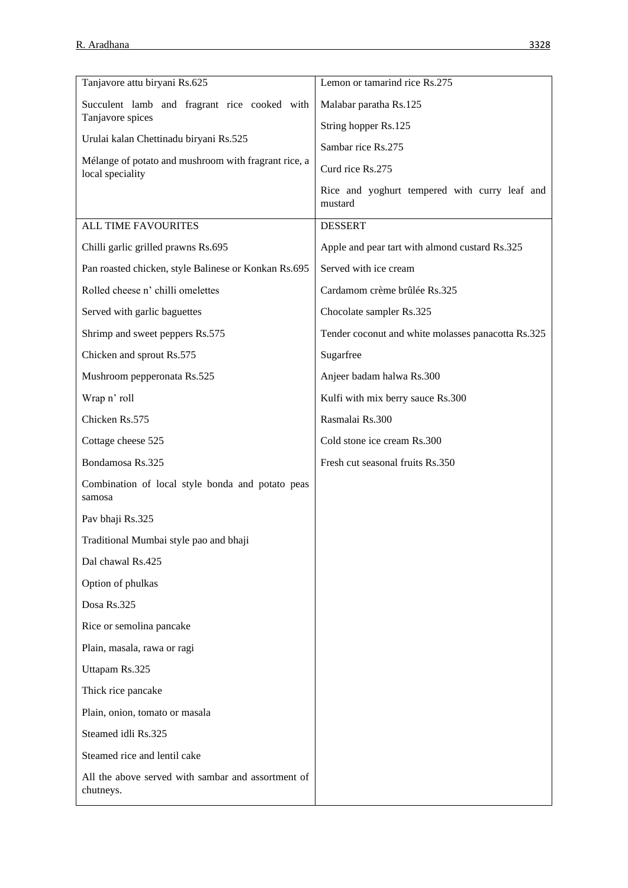| Tanjavore attu biryani Rs.625                                            | Lemon or tamarind rice Rs.275                            |
|--------------------------------------------------------------------------|----------------------------------------------------------|
| Succulent lamb and fragrant rice cooked with                             | Malabar paratha Rs.125                                   |
| Tanjavore spices                                                         | String hopper Rs.125                                     |
| Urulai kalan Chettinadu biryani Rs.525                                   | Sambar rice Rs.275                                       |
| Mélange of potato and mushroom with fragrant rice, a<br>local speciality | Curd rice Rs.275                                         |
|                                                                          | Rice and yoghurt tempered with curry leaf and<br>mustard |
| <b>ALL TIME FAVOURITES</b>                                               | <b>DESSERT</b>                                           |
| Chilli garlic grilled prawns Rs.695                                      | Apple and pear tart with almond custard Rs.325           |
| Pan roasted chicken, style Balinese or Konkan Rs.695                     | Served with ice cream                                    |
| Rolled cheese n' chilli omelettes                                        | Cardamom crème brûlée Rs.325                             |
| Served with garlic baguettes                                             | Chocolate sampler Rs.325                                 |
| Shrimp and sweet peppers Rs.575                                          | Tender coconut and white molasses panacotta Rs.325       |
| Chicken and sprout Rs.575                                                | Sugarfree                                                |
| Mushroom pepperonata Rs.525                                              | Anjeer badam halwa Rs.300                                |
| Wrap n' roll                                                             | Kulfi with mix berry sauce Rs.300                        |
| Chicken Rs.575                                                           | Rasmalai Rs.300                                          |
| Cottage cheese 525                                                       | Cold stone ice cream Rs.300                              |
| Bondamosa Rs.325                                                         | Fresh cut seasonal fruits Rs.350                         |
| Combination of local style bonda and potato peas<br>samosa               |                                                          |
| Pav bhaji Rs.325                                                         |                                                          |
| Traditional Mumbai style pao and bhaji                                   |                                                          |
| Dal chawal Rs.425                                                        |                                                          |
| Option of phulkas                                                        |                                                          |
| Dosa Rs.325                                                              |                                                          |
| Rice or semolina pancake                                                 |                                                          |
| Plain, masala, rawa or ragi                                              |                                                          |
| Uttapam Rs.325                                                           |                                                          |
| Thick rice pancake                                                       |                                                          |
| Plain, onion, tomato or masala                                           |                                                          |
| Steamed idli Rs.325                                                      |                                                          |
| Steamed rice and lentil cake                                             |                                                          |
| All the above served with sambar and assortment of<br>chutneys.          |                                                          |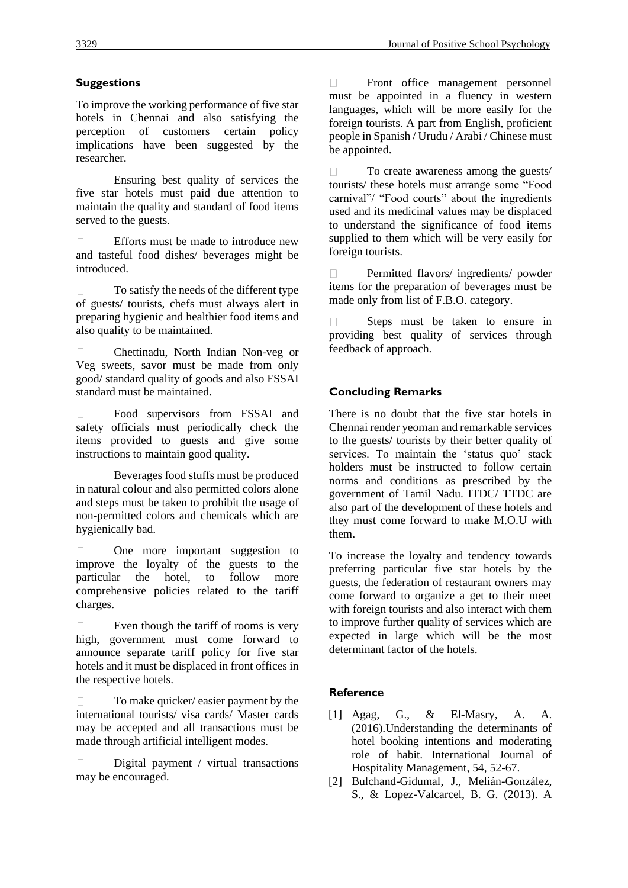# **Suggestions**

To improve the working performance of five star hotels in Chennai and also satisfying the perception of customers certain policy implications have been suggested by the researcher.

Ensuring best quality of services the  $\Box$ five star hotels must paid due attention to maintain the quality and standard of food items served to the guests.

 $\Box$ Efforts must be made to introduce new and tasteful food dishes/ beverages might be introduced.

To satisfy the needs of the different type  $\Box$ of guests/ tourists, chefs must always alert in preparing hygienic and healthier food items and also quality to be maintained.

Chettinadu, North Indian Non-veg or  $\Box$ Veg sweets, savor must be made from only good/ standard quality of goods and also FSSAI standard must be maintained.

Food supervisors from FSSAI and  $\Box$ safety officials must periodically check the items provided to guests and give some instructions to maintain good quality.

Beverages food stuffs must be produced  $\Box$ in natural colour and also permitted colors alone and steps must be taken to prohibit the usage of non-permitted colors and chemicals which are hygienically bad.

One more important suggestion to  $\Box$ improve the loyalty of the guests to the particular the hotel, to follow more comprehensive policies related to the tariff charges.

Even though the tariff of rooms is very  $\Box$ high, government must come forward to announce separate tariff policy for five star hotels and it must be displaced in front offices in the respective hotels.

To make quicker/ easier payment by the  $\Box$ international tourists/ visa cards/ Master cards may be accepted and all transactions must be made through artificial intelligent modes.

Digital payment / virtual transactions  $\Box$ may be encouraged.

Front office management personnel  $\Box$ must be appointed in a fluency in western languages, which will be more easily for the foreign tourists. A part from English, proficient people in Spanish / Urudu / Arabi / Chinese must be appointed.

To create awareness among the guests/  $\Box$ tourists/ these hotels must arrange some "Food carnival"/ "Food courts" about the ingredients used and its medicinal values may be displaced to understand the significance of food items supplied to them which will be very easily for foreign tourists.

Permitted flavors/ ingredients/ powder  $\Box$ items for the preparation of beverages must be made only from list of F.B.O. category.

Steps must be taken to ensure in  $\Box$ providing best quality of services through feedback of approach.

## **Concluding Remarks**

There is no doubt that the five star hotels in Chennai render yeoman and remarkable services to the guests/ tourists by their better quality of services. To maintain the 'status quo' stack holders must be instructed to follow certain norms and conditions as prescribed by the government of Tamil Nadu. ITDC/ TTDC are also part of the development of these hotels and they must come forward to make M.O.U with them.

To increase the loyalty and tendency towards preferring particular five star hotels by the guests, the federation of restaurant owners may come forward to organize a get to their meet with foreign tourists and also interact with them to improve further quality of services which are expected in large which will be the most determinant factor of the hotels.

## **Reference**

- [1] Agag, G., & El-Masry, A. A. (2016).Understanding the determinants of hotel booking intentions and moderating role of habit. International Journal of Hospitality Management, 54, 52-67.
- [2] Bulchand-Gidumal, J., Melián-González, S., & Lopez-Valcarcel, B. G. (2013). A